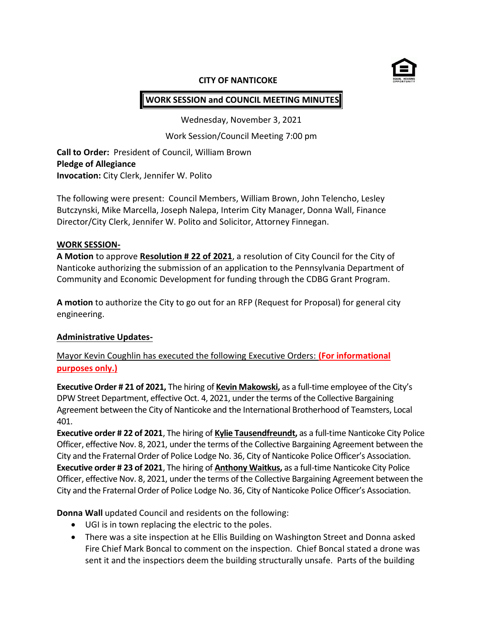

#### **CITY OF NANTICOKE**

# **WORK SESSION and COUNCIL MEETING MINUTES**

Wednesday, November 3, 2021

Work Session/Council Meeting 7:00 pm

**Call to Order:** President of Council, William Brown **Pledge of Allegiance Invocation:** City Clerk, Jennifer W. Polito

The following were present: Council Members, William Brown, John Telencho, Lesley Butczynski, Mike Marcella, Joseph Nalepa, Interim City Manager, Donna Wall, Finance Director/City Clerk, Jennifer W. Polito and Solicitor, Attorney Finnegan.

#### **WORK SESSION-**

**A Motion** to approve **Resolution # 22 of 2021**, a resolution of City Council for the City of Nanticoke authorizing the submission of an application to the Pennsylvania Department of Community and Economic Development for funding through the CDBG Grant Program.

**A motion** to authorize the City to go out for an RFP (Request for Proposal) for general city engineering.

#### **Administrative Updates-**

Mayor Kevin Coughlin has executed the following Executive Orders: **(For informational purposes only.)**

**Executive Order # 21 of 2021,** The hiring of **Kevin Makowski,** as a full-time employee of the City's DPW Street Department, effective Oct. 4, 2021, under the terms of the Collective Bargaining Agreement between the City of Nanticoke and the International Brotherhood of Teamsters, Local 401.

**Executive order # 22 of 2021**, The hiring of **Kylie Tausendfreundt,** as a full-time Nanticoke City Police Officer, effective Nov. 8, 2021, under the terms of the Collective Bargaining Agreement between the City and the Fraternal Order of Police Lodge No. 36, City of Nanticoke Police Officer's Association. **Executive order # 23 of 2021**, The hiring of **Anthony Waitkus,** as a full-time Nanticoke City Police Officer, effective Nov. 8, 2021, under the terms of the Collective Bargaining Agreement between the City and the Fraternal Order of Police Lodge No. 36, City of Nanticoke Police Officer's Association.

**Donna Wall** updated Council and residents on the following:

- UGI is in town replacing the electric to the poles.
- There was a site inspection at he Ellis Building on Washington Street and Donna asked Fire Chief Mark Boncal to comment on the inspection. Chief Boncal stated a drone was sent it and the inspectiors deem the building structurally unsafe. Parts of the building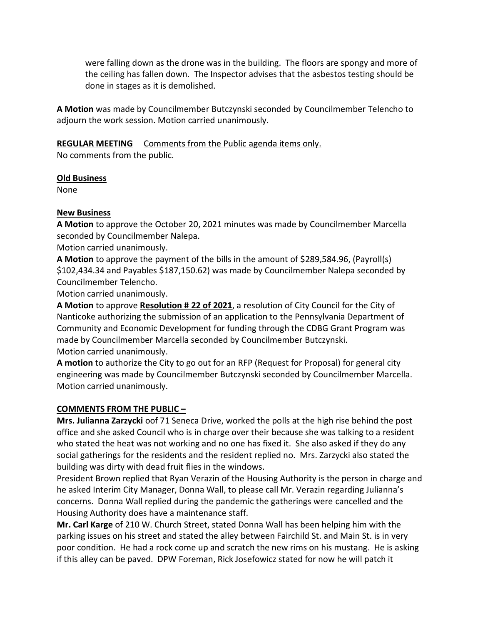were falling down as the drone was in the building. The floors are spongy and more of the ceiling has fallen down. The Inspector advises that the asbestos testing should be done in stages as it is demolished.

**A Motion** was made by Councilmember Butczynski seconded by Councilmember Telencho to adjourn the work session. Motion carried unanimously.

**REGULAR MEETING** Comments from the Public agenda items only.

No comments from the public.

#### **Old Business**

None

## **New Business**

**A Motion** to approve the October 20, 2021 minutes was made by Councilmember Marcella seconded by Councilmember Nalepa.

Motion carried unanimously.

**A Motion** to approve the payment of the bills in the amount of \$289,584.96, (Payroll(s) \$102,434.34 and Payables \$187,150.62) was made by Councilmember Nalepa seconded by Councilmember Telencho.

Motion carried unanimously.

**A Motion** to approve **Resolution # 22 of 2021**, a resolution of City Council for the City of Nanticoke authorizing the submission of an application to the Pennsylvania Department of Community and Economic Development for funding through the CDBG Grant Program was made by Councilmember Marcella seconded by Councilmember Butczynski. Motion carried unanimously.

**A motion** to authorize the City to go out for an RFP (Request for Proposal) for general city engineering was made by Councilmember Butczynski seconded by Councilmember Marcella. Motion carried unanimously.

## **COMMENTS FROM THE PUBLIC –**

**Mrs. Julianna Zarzycki** oof 71 Seneca Drive, worked the polls at the high rise behind the post office and she asked Council who is in charge over their because she was talking to a resident who stated the heat was not working and no one has fixed it. She also asked if they do any social gatherings for the residents and the resident replied no. Mrs. Zarzycki also stated the building was dirty with dead fruit flies in the windows.

President Brown replied that Ryan Verazin of the Housing Authority is the person in charge and he asked Interim City Manager, Donna Wall, to please call Mr. Verazin regarding Julianna's concerns. Donna Wall replied during the pandemic the gatherings were cancelled and the Housing Authority does have a maintenance staff.

**Mr. Carl Karge** of 210 W. Church Street, stated Donna Wall has been helping him with the parking issues on his street and stated the alley between Fairchild St. and Main St. is in very poor condition. He had a rock come up and scratch the new rims on his mustang. He is asking if this alley can be paved. DPW Foreman, Rick Josefowicz stated for now he will patch it